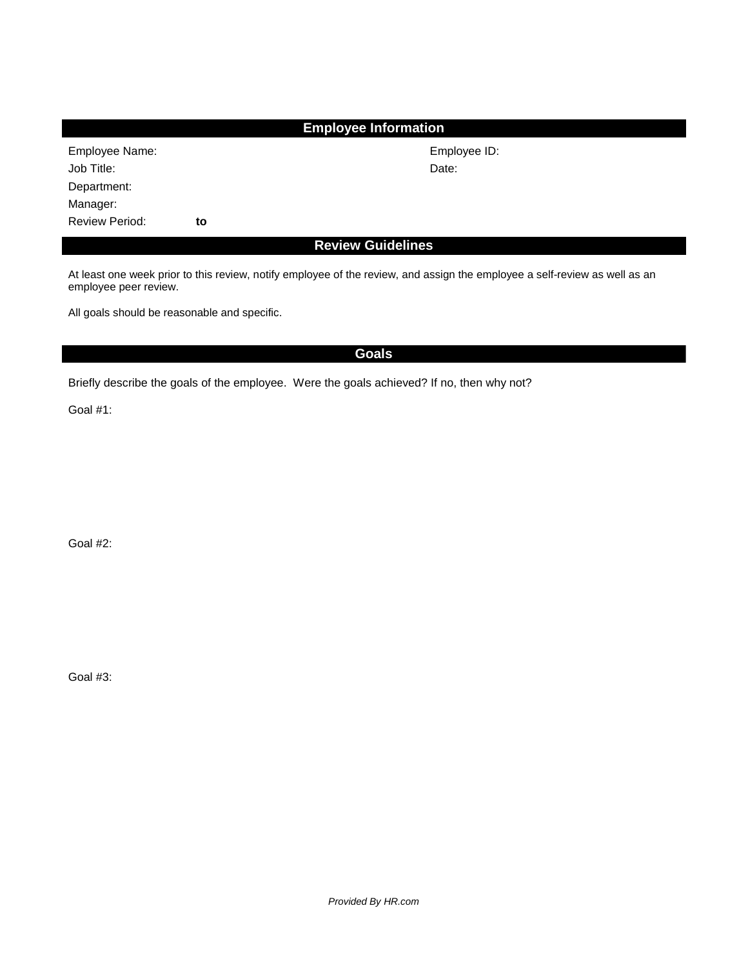| <b>Employee Information</b> |    |              |  |  |  |  |  |  |
|-----------------------------|----|--------------|--|--|--|--|--|--|
| Employee Name:              |    | Employee ID: |  |  |  |  |  |  |
| Job Title:                  |    | Date:        |  |  |  |  |  |  |
| Department:                 |    |              |  |  |  |  |  |  |
| Manager:                    |    |              |  |  |  |  |  |  |
| <b>Review Period:</b>       | to |              |  |  |  |  |  |  |
| <b>Review Guidelines</b>    |    |              |  |  |  |  |  |  |

At least one week prior to this review, notify employee of the review, and assign the employee a self-review as well as an employee peer review.

All goals should be reasonable and specific.

## **Goals**

Briefly describe the goals of the employee. Were the goals achieved? If no, then why not?

Goal #1:

Goal #2:

Goal #3: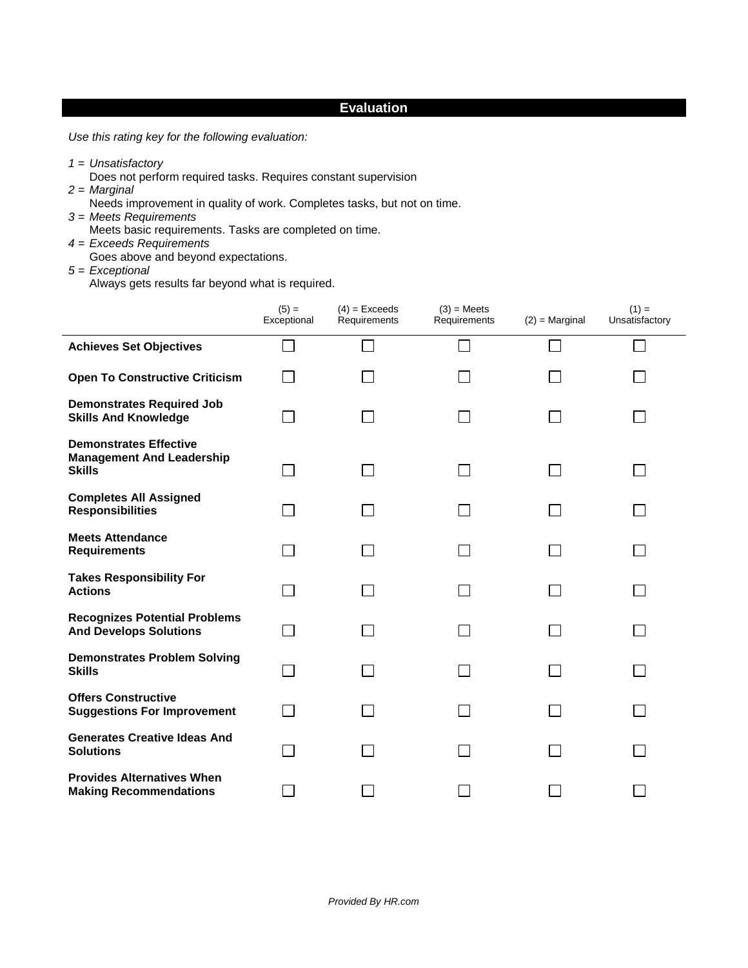## **Evaluation**

*Use this rating key for the following evaluation:*

- *1* = *Unsatisfactory*
	- Does not perform required tasks. Requires constant supervision
- *2 = Marginal*
	- Needs improvement in quality of work. Completes tasks, but not on time.
- *3 = Meets Requirements*  Meets basic requirements. Tasks are completed on time.
- *4 = Exceeds Requirements*
- Goes above and beyond expectations.
- *5 = Exceptional*

Always gets results far beyond what is required.

|                                                                                    | $(5) =$<br>Exceptional | $(4)$ = Exceeds<br>Requirements | $(3)$ = Meets<br>Requirements | $(2)$ = Marginal | $(1) =$<br>Unsatisfactory |
|------------------------------------------------------------------------------------|------------------------|---------------------------------|-------------------------------|------------------|---------------------------|
| <b>Achieves Set Objectives</b>                                                     |                        |                                 |                               | L                |                           |
| <b>Open To Constructive Criticism</b>                                              |                        |                                 |                               |                  |                           |
| <b>Demonstrates Required Job</b><br><b>Skills And Knowledge</b>                    |                        |                                 |                               |                  |                           |
| <b>Demonstrates Effective</b><br><b>Management And Leadership</b><br><b>Skills</b> |                        | $\mathcal{L}_{\mathcal{A}}$     |                               |                  |                           |
| <b>Completes All Assigned</b><br><b>Responsibilities</b>                           |                        | $\sim$ 1                        |                               |                  |                           |
| <b>Meets Attendance</b><br><b>Requirements</b>                                     |                        |                                 |                               |                  |                           |
| <b>Takes Responsibility For</b><br><b>Actions</b>                                  |                        |                                 |                               |                  |                           |
| <b>Recognizes Potential Problems</b><br><b>And Develops Solutions</b>              |                        |                                 |                               |                  |                           |
| <b>Demonstrates Problem Solving</b><br><b>Skills</b>                               |                        |                                 |                               |                  |                           |
| <b>Offers Constructive</b><br><b>Suggestions For Improvement</b>                   |                        |                                 |                               |                  |                           |
| <b>Generates Creative Ideas And</b><br><b>Solutions</b>                            |                        |                                 |                               |                  |                           |
| <b>Provides Alternatives When</b><br><b>Making Recommendations</b>                 |                        |                                 |                               |                  |                           |